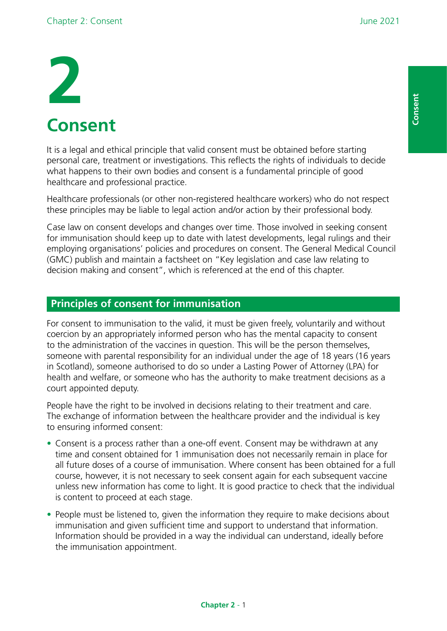# **2 Consent**

It is a legal and ethical principle that valid consent must be obtained before starting personal care, treatment or investigations. This refects the rights of individuals to decide what happens to their own bodies and consent is a fundamental principle of good healthcare and professional practice.

Healthcare professionals (or other non-registered healthcare workers) who do not respect these principles may be liable to legal action and/or action by their professional body.

Case law on consent develops and changes over time. Those involved in seeking consent for immunisation should keep up to date with latest developments, legal rulings and their employing organisations' policies and procedures on consent. The General Medical Council (GMC) publish and maintain a factsheet on "Key legislation and case law relating to decision making and consent", which is referenced at the end of this chapter.

# **Principles of consent for immunisation**

For consent to immunisation to the valid, it must be given freely, voluntarily and without coercion by an appropriately informed person who has the mental capacity to consent to the administration of the vaccines in question. This will be the person themselves, someone with parental responsibility for an individual under the age of 18 years (16 years in Scotland), someone authorised to do so under a Lasting Power of Attorney (LPA) for health and welfare, or someone who has the authority to make treatment decisions as a court appointed deputy.

People have the right to be involved in decisions relating to their treatment and care. The exchange of information between the healthcare provider and the individual is key to ensuring informed consent:

- Consent is a process rather than a one-off event. Consent may be withdrawn at any time and consent obtained for 1 immunisation does not necessarily remain in place for all future doses of a course of immunisation. Where consent has been obtained for a full course, however, it is not necessary to seek consent again for each subsequent vaccine unless new information has come to light. It is good practice to check that the individual is content to proceed at each stage.
- People must be listened to, given the information they require to make decisions about immunisation and given sufficient time and support to understand that information. Information should be provided in a way the individual can understand, ideally before the immunisation appointment.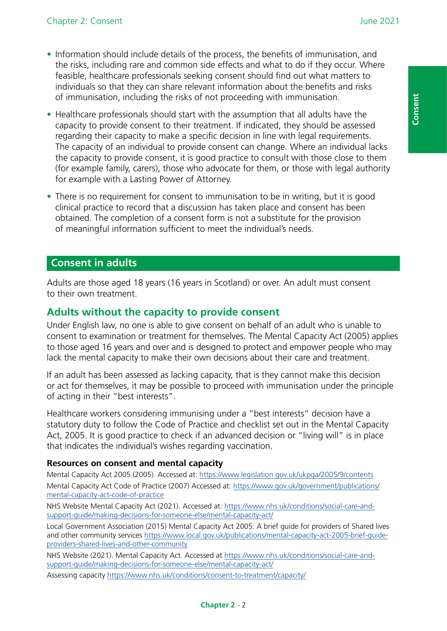- Information should include details of the process, the benefits of immunisation, and the risks, including rare and common side effects and what to do if they occur. Where feasible, healthcare professionals seeking consent should find out what matters to individuals so that they can share relevant information about the benefits and risks of immunisation, including the risks of not proceeding with immunisation.
- Healthcare professionals should start with the assumption that all adults have the capacity to provide consent to their treatment. If indicated, they should be assessed regarding their capacity to make a specific decision in line with legal requirements. The capacity of an individual to provide consent can change. Where an individual lacks the capacity to provide consent, it is good practice to consult with those close to them (for example family, carers), those who advocate for them, or those with legal authority for example with a Lasting Power of Attorney.
- There is no requirement for consent to immunisation to be in writing, but it is good clinical practice to record that a discussion has taken place and consent has been obtained. The completion of a consent form is not a substitute for the provision of meaningful information sufficient to meet the individual's needs.

#### **Consent in adults**

Adults are those aged 18 years (16 years in Scotland) or over. An adult must consent to their own treatment.

#### **Adults without the capacity to provide consent**

Under English law, no one is able to give consent on behalf of an adult who is unable to consent to examination or treatment for themselves. The Mental Capacity Act (2005) applies to those aged 16 years and over and is designed to protect and empower people who may lack the mental capacity to make their own decisions about their care and treatment.

If an adult has been assessed as lacking capacity, that is they cannot make this decision or act for themselves, it may be possible to proceed with immunisation under the principle of acting in their "best interests".

Healthcare workers considering immunising under a "best interests" decision have a statutory duty to follow the Code of Practice and checklist set out in the Mental Capacity Act, 2005. It is good practice to check if an advanced decision or "living will" is in place that indicates the individual's wishes regarding vaccination.

#### **Resources on consent and mental capacity**

Mental Capacity Act 2005 (2005). Accessed at: <https://www.legislation.gov.uk/ukpga/2005/9/contents> Mental Capacity Act Code of Practice (2007) Accessed at: [https://www.gov.uk/government/publications/](https://www.gov.uk/government/publications/mental-capacity-act-code-of-practice) [mental-capacity-act-code-of-practice](https://www.gov.uk/government/publications/mental-capacity-act-code-of-practice)

NHS Website Mental Capacity Act (2021). Accessed at: [https://www.nhs.uk/conditions/social-care-and](https://www.nhs.uk/conditions/social-care-and-support-guide/making-decisions-for-someone-else/mental-capacity-act/)[support-guide/making-decisions-for-someone-else/mental-capacity-act/](https://www.nhs.uk/conditions/social-care-and-support-guide/making-decisions-for-someone-else/mental-capacity-act/)

Local Government Association (2015) Mental Capacity Act 2005: A brief guide for providers of Shared lives and other community services [https://www.local.gov.uk/publications/mental-capacity-act-2005-brief-guide](https://www.local.gov.uk/publications/mental-capacity-act-2005-brief-guide-providers-shared-lives-and-other-community)[providers-shared-lives-and-other-community](https://www.local.gov.uk/publications/mental-capacity-act-2005-brief-guide-providers-shared-lives-and-other-community)

**Chapter 2** - 2

NHS Website (2021). Mental Capacity Act. Accessed at [https://www.nhs.uk/conditions/social-care-and](https://www.nhs.uk/conditions/social-care-and-support-guide/making-decisions-for-someone-else/mental-capacity-act/)[support-guide/making-decisions-for-someone-else/mental-capacity-act/](https://www.nhs.uk/conditions/social-care-and-support-guide/making-decisions-for-someone-else/mental-capacity-act/)

Assessing capacity <https://www.nhs.uk/conditions/consent-to-treatment/capacity/>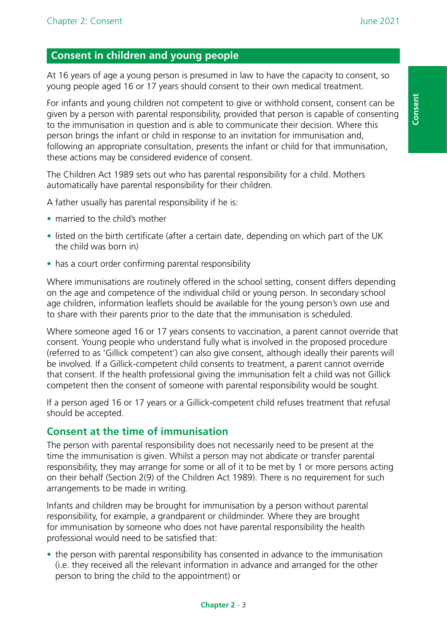# **Consent in children and young people**

At 16 years of age a young person is presumed in law to have the capacity to consent, so young people aged 16 or 17 years should consent to their own medical treatment.

For infants and young children not competent to give or withhold consent, consent can be given by a person with parental responsibility, provided that person is capable of consenting to the immunisation in question and is able to communicate their decision. Where this person brings the infant or child in response to an invitation for immunisation and, following an appropriate consultation, presents the infant or child for that immunisation, these actions may be considered evidence of consent.

The Children Act 1989 sets out who has parental responsibility for a child. Mothers automatically have parental responsibility for their children.

A father usually has parental responsibility if he is:

- married to the child's mother
- listed on the birth certificate (after a certain date, depending on which part of the UK the child was born in)
- has a court order confirming parental responsibility

Where immunisations are routinely offered in the school setting, consent differs depending on the age and competence of the individual child or young person. In secondary school age children, information leaflets should be available for the young person's own use and to share with their parents prior to the date that the immunisation is scheduled.

Where someone aged 16 or 17 years consents to vaccination, a parent cannot override that consent. Young people who understand fully what is involved in the proposed procedure (referred to as 'Gillick competent') can also give consent, although ideally their parents will be involved. If a Gillick-competent child consents to treatment, a parent cannot override that consent. If the health professional giving the immunisation felt a child was not Gillick competent then the consent of someone with parental responsibility would be sought.

If a person aged 16 or 17 years or a Gillick-competent child refuses treatment that refusal should be accepted.

## **Consent at the time of immunisation**

The person with parental responsibility does not necessarily need to be present at the time the immunisation is given. Whilst a person may not abdicate or transfer parental responsibility, they may arrange for some or all of it to be met by 1 or more persons acting on their behalf (Section 2(9) of the Children Act 1989). There is no requirement for such arrangements to be made in writing.

Infants and children may be brought for immunisation by a person without parental responsibility, for example, a grandparent or childminder. Where they are brought for immunisation by someone who does not have parental responsibility the health professional would need to be satisfed that:

• the person with parental responsibility has consented in advance to the immunisation (i.e. they received all the relevant information in advance and arranged for the other person to bring the child to the appointment) or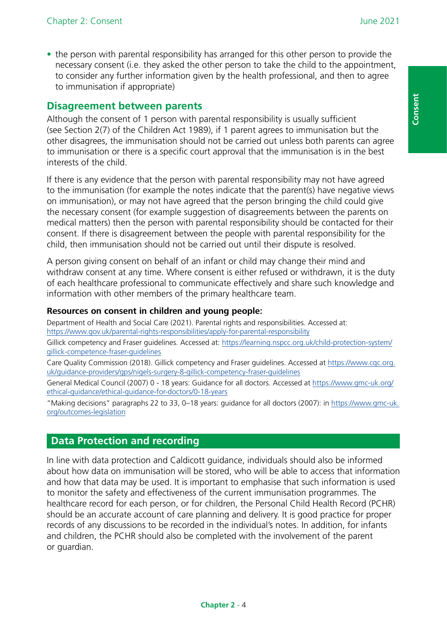**Consent**

Consent

• the person with parental responsibility has arranged for this other person to provide the necessary consent (i.e. they asked the other person to take the child to the appointment, to consider any further information given by the health professional, and then to agree to immunisation if appropriate)

## **Disagreement between parents**

Although the consent of 1 person with parental responsibility is usually sufficient (see Section 2(7) of the Children Act 1989), if 1 parent agrees to immunisation but the other disagrees, the immunisation should not be carried out unless both parents can agree to immunisation or there is a specific court approval that the immunisation is in the best interests of the child.

If there is any evidence that the person with parental responsibility may not have agreed to the immunisation (for example the notes indicate that the parent(s) have negative views on immunisation), or may not have agreed that the person bringing the child could give the necessary consent (for example suggestion of disagreements between the parents on medical matters) then the person with parental responsibility should be contacted for their consent. If there is disagreement between the people with parental responsibility for the child, then immunisation should not be carried out until their dispute is resolved.

A person giving consent on behalf of an infant or child may change their mind and withdraw consent at any time. Where consent is either refused or withdrawn, it is the duty of each healthcare professional to communicate effectively and share such knowledge and information with other members of the primary healthcare team.

#### **Resources on consent in children and young people:**

Department of Health and Social Care (2021). Parental rights and responsibilities. Accessed at: <https://www.gov.uk/parental-rights-responsibilities/apply-for-parental-responsibility>

Gillick competency and Fraser guidelines. Accessed at: [https://learning.nspcc.org.uk/child-protection-system/](https://learning.nspcc.org.uk/child-protection-system/gillick-competence-fraser-guidelines) [gillick-competence-fraser-guidelines](https://learning.nspcc.org.uk/child-protection-system/gillick-competence-fraser-guidelines)

Care Quality Commission (2018). Gillick competency and Fraser guidelines. Accessed at [https://www.cqc.org.](https://www.cqc.org.uk/guidance-providers/gps/nigels-surgery-8-gillick-competency-fraser-guidelines) [uk/guidance-providers/gps/nigels-surgery-8-gillick-competency-fraser-guidelines](https://www.cqc.org.uk/guidance-providers/gps/nigels-surgery-8-gillick-competency-fraser-guidelines)

General Medical Council (2007) 0 - 18 years: Guidance for all doctors. Accessed at [https://www.gmc-uk.org/](https://www.gmc-uk.org/ethical-guidance/ethical-guidance-for-doctors/0-18-years) [ethical-guidance/ethical-guidance-for-doctors/0-18-years](https://www.gmc-uk.org/ethical-guidance/ethical-guidance-for-doctors/0-18-years)

"Making decisions" paragraphs 22 to 33, 0–18 years: guidance for all doctors (2007): in [https://www.gmc-uk.](https://www.gmc-uk.org/outcomes-legislation) [org/outcomes-legislation](https://www.gmc-uk.org/outcomes-legislation)

## **Data Protection and recording**

In line with data protection and Caldicott guidance, individuals should also be informed about how data on immunisation will be stored, who will be able to access that information and how that data may be used. It is important to emphasise that such information is used to monitor the safety and effectiveness of the current immunisation programmes. The healthcare record for each person, or for children, the Personal Child Health Record (PCHR) should be an accurate account of care planning and delivery. It is good practice for proper records of any discussions to be recorded in the individual's notes. In addition, for infants and children, the PCHR should also be completed with the involvement of the parent or guardian.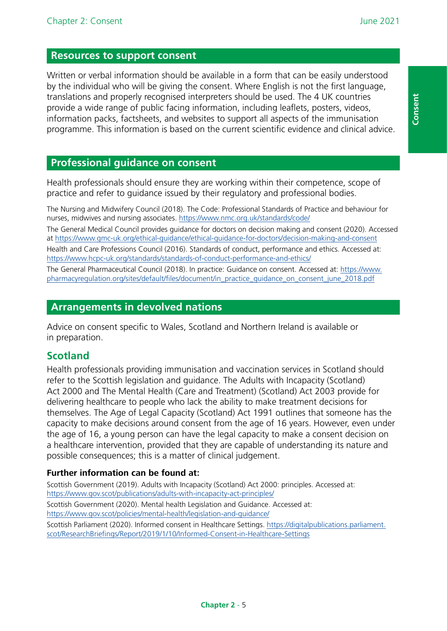**Consent**

Consent

#### **Resources to support consent**

Written or verbal information should be available in a form that can be easily understood by the individual who will be giving the consent. Where English is not the first language, translations and properly recognised interpreters should be used. The 4 UK countries provide a wide range of public facing information, including leafets, posters, videos, information packs, factsheets, and websites to support all aspects of the immunisation programme. This information is based on the current scientific evidence and clinical advice.

## **Professional guidance on consent**

Health professionals should ensure they are working within their competence, scope of practice and refer to guidance issued by their regulatory and professional bodies.

The Nursing and Midwifery Council (2018). The Code: Professional Standards of Practice and behaviour for nurses, midwives and nursing associates. <https://www.nmc.org.uk/standards/code/>

The General Medical Council provides guidance for doctors on decision making and consent (2020). Accessed at<https://www.gmc-uk.org/ethical-guidance/ethical-guidance-for-doctors/decision-making-and-consent> Health and Care Professions Council (2016). Standards of conduct, performance and ethics. Accessed at: <https://www.hcpc-uk.org/standards/standards-of-conduct-performance-and-ethics/>

The General Pharmaceutical Council (2018). In practice: Guidance on consent. Accessed at: [https://www.](https://www.pharmacyregulation.org/sites/default/files/document/in_practice_guidance_on_consent_june_2018.pdf) [pharmacyregulation.org/sites/default/fles/document/in\\_practice\\_guidance\\_on\\_consent\\_june\\_2018.pdf](https://www.pharmacyregulation.org/sites/default/files/document/in_practice_guidance_on_consent_june_2018.pdf)

#### **Arrangements in devolved nations**

Advice on consent specific to Wales, Scotland and Northern Ireland is available or in preparation.

## **Scotland**

Health professionals providing immunisation and vaccination services in Scotland should refer to the Scottish legislation and guidance. The Adults with Incapacity (Scotland) Act 2000 and The Mental Health (Care and Treatment) (Scotland) Act 2003 provide for delivering healthcare to people who lack the ability to make treatment decisions for themselves. The Age of Legal Capacity (Scotland) Act 1991 outlines that someone has the capacity to make decisions around consent from the age of 16 years. However, even under the age of 16, a young person can have the legal capacity to make a consent decision on a healthcare intervention, provided that they are capable of understanding its nature and possible consequences; this is a matter of clinical judgement.

#### **Further information can be found at:**

Scottish Government (2019). Adults with Incapacity (Scotland) Act 2000: principles. Accessed at: <https://www.gov.scot/publications/adults-with-incapacity-act-principles/>

Scottish Government (2020). Mental health Legislation and Guidance. Accessed at: <https://www.gov.scot/policies/mental-health/legislation-and-guidance/>

Scottish Parliament (2020). Informed consent in Healthcare Settings. [https://digitalpublications.parliament.](https://digitalpublications.parliament.scot/ResearchBriefings/Report/2019/1/10/Informed-Consent-in-Healthcare-Settings) [scot/ResearchBriefngs/Report/2019/1/10/Informed-Consent-in-Healthcare-Settings](https://digitalpublications.parliament.scot/ResearchBriefings/Report/2019/1/10/Informed-Consent-in-Healthcare-Settings)